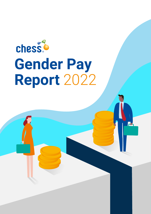# chess® **Gender Pay Report** 2022

2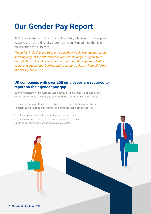### **Our Gender Pay Report**

At Chess we are committed to creating a fair, ethical and diverse place to work. We have a diversity statement in our Blueprint so that it is documented for all to see:

*"To be fair, inclusive and treat others as they would wish to be treated, showing respect for differences in race, ethnic origin, religion, faith, marital status, disability, age, sex, sexual orientation, gender identity, social and educational background, creating a culture where all forms of diversity are valued."* 

#### **UK companies with over 250 employees are required to report on their gender pay gap**

It's a very important step forward because if companies are transparent about pay, and can find the root cause of any pay gap, they can build businesses that reflect society.

The Gender Pay Gap is the difference between the earnings of all men in our business, compared to the earnings of all women in our business, regardless of their role.

It's different to equal pay which means that men and women who do similar jobs are paid the same. It's a legal requirement to pay people equally and something that we review regularly at Chess.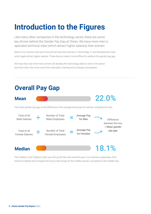## **Introduction to the Figures**

Like many other companies in the technology sector, there are some key drivers behind the Gender Pay Gap at Chess. We have more men in specialist technical roles (which attract higher salaries) than women.

More of our women work part time and we have less women in Technology, IT and Development roles which again attract higher salaries. These factors make it more difficult to address the gender pay gap.

We hope that over time more women will develop the technology skills to work in the senior technical roles, this must come from education, training and a change in perception.



The median is the midpoint when you line up all men and women's pay in our business separately, from lowest to highest and compare the hourly rate of pay for the middle woman, compared to the middle man.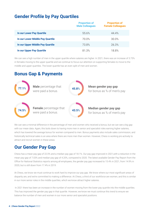### **Gender Profile by Pay Quartiles**

|                                  | <b>Proportion of</b><br><b>Male Colleagues</b> | <b>Proportion of</b><br><b>Female Colleagues</b> |
|----------------------------------|------------------------------------------------|--------------------------------------------------|
| In our Lower Pay Quartile        | 55.6%                                          | 44.4%                                            |
| In our Lower Middle Pay Quartile | 70.0%                                          | 30.0%                                            |
| In our Upper Middle Pay Quartile | 73.8%                                          | 26.3%                                            |
| In our Upper Pay Quartile        | 81.3%                                          | 18.8%                                            |

We can see a high number of men in the upper quartile where salaries are higher. In 2021, there was an increase of 3.75% in females moving to the upper quartile and we continue to focus our attention on supporting females to move to the middle and upper quartiles. The lower quartile has an even split of men and women.

#### **Bonus Gap & Payments**



We can see a minimal difference in the percentage of men and women who received a bonus, but we can see a big gap with our mean data. Again, this boils down to having more men in senior and specialist roles earning higher salaries, which has lowered the average bonus for women compared to men. Bonus payments also include sales commission, and historically technical sales is an area where there are more men than women. However, Chess is working pro-actively to attract and recruit women in these areas.

### **Our Gender Pay Gap**

Chess has a mean pay gap of 22.0% and a median pay gap of 18.1%. Our pay gap improved in 2021,with a reduction in the mean pay gap of 7.03% and median pay gap of 4.20%, compared to 2020. The latest available Gender Pay Report from the Office for National Statistics reports among all employees, the gender pay gap increased to 15.4% in 2021, from 14.9% in 2020, but is still down from 17.4% in 2019.

At Chess, we know we must continue to work hard to improve our pay gap. We know where our most significant areas of disparity are, and we're committed to making a difference. At Chess, a third of our workforce are women, and this is similar in our more senior roles in the middle quartiles, which we know attract higher salaries.

 In 2021 there has been an increase in the number of women moving from the lower pay quartile into the middle quartiles. This has improved the gender pay gap in that quartile. However, we know we must continue this trend to ensure we balance the number of men and women in our more senior and specialist positions.